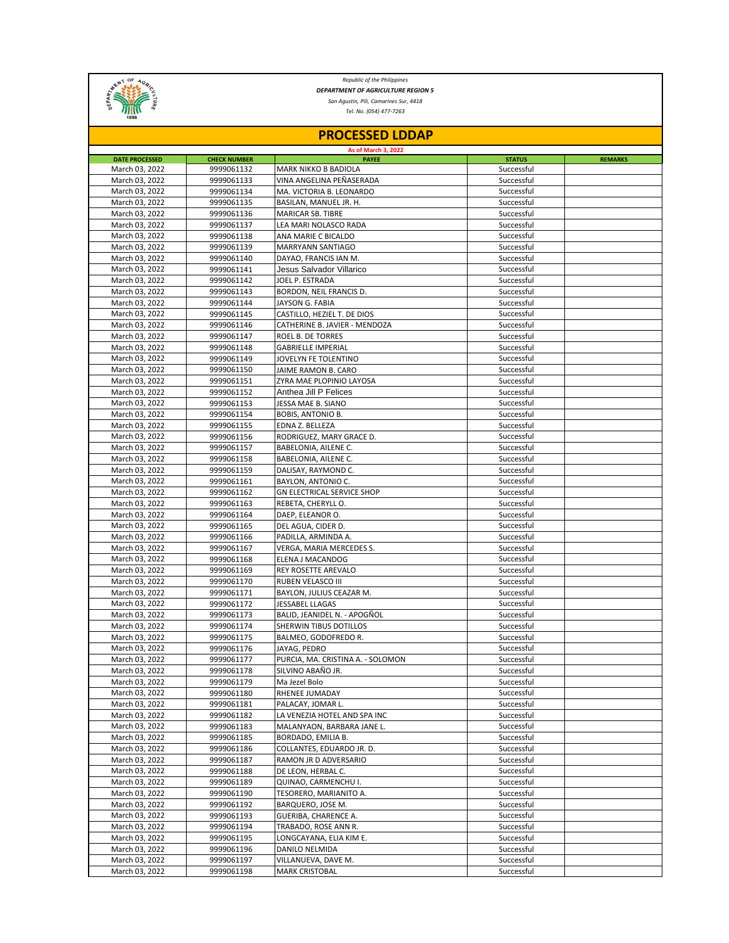

*Republic of the Philippines San Agustin, Pili, Camarines Sur, 4418 DEPARTMENT OF AGRICULTURE REGION 5*

*Tel. No. (054) 477-7263*

| <b>PROCESSED LDDAP</b><br>As of March 3, 2022 |            |                                   |            |  |  |  |  |
|-----------------------------------------------|------------|-----------------------------------|------------|--|--|--|--|
|                                               |            |                                   |            |  |  |  |  |
| March 03, 2022                                | 9999061132 | <b>MARK NIKKO B BADIOLA</b>       | Successful |  |  |  |  |
| March 03, 2022                                | 9999061133 | VINA ANGELINA PEÑASERADA          | Successful |  |  |  |  |
| March 03, 2022                                | 9999061134 | MA. VICTORIA B. LEONARDO          | Successful |  |  |  |  |
| March 03, 2022                                | 9999061135 | BASILAN, MANUEL JR. H.            | Successful |  |  |  |  |
| March 03, 2022                                | 9999061136 | <b>MARICAR SB. TIBRE</b>          | Successful |  |  |  |  |
| March 03, 2022                                | 9999061137 | LEA MARI NOLASCO RADA             | Successful |  |  |  |  |
| March 03, 2022                                | 9999061138 | ANA MARIE C BICALDO               | Successful |  |  |  |  |
| March 03, 2022                                | 9999061139 | MARRYANN SANTIAGO                 | Successful |  |  |  |  |
| March 03, 2022                                | 9999061140 | DAYAO, FRANCIS IAN M.             | Successful |  |  |  |  |
| March 03, 2022                                | 9999061141 | Jesus Salvador Villarico          | Successful |  |  |  |  |
| March 03, 2022                                | 9999061142 | JOEL P. ESTRADA                   | Successful |  |  |  |  |
| March 03, 2022                                | 9999061143 | BORDON, NEIL FRANCIS D.           | Successful |  |  |  |  |
| March 03, 2022                                | 9999061144 | JAYSON G. FABIA                   | Successful |  |  |  |  |
| March 03, 2022                                | 9999061145 | CASTILLO, HEZIEL T. DE DIOS       | Successful |  |  |  |  |
| March 03, 2022                                | 9999061146 | CATHERINE B. JAVIER - MENDOZA     | Successful |  |  |  |  |
| March 03, 2022                                | 9999061147 | ROEL B. DE TORRES                 | Successful |  |  |  |  |
| March 03, 2022                                | 9999061148 | <b>GABRIELLE IMPERIAL</b>         | Successful |  |  |  |  |
| March 03, 2022                                | 9999061149 | JOVELYN FE TOLENTINO              | Successful |  |  |  |  |
| March 03, 2022                                | 9999061150 | JAIME RAMON B. CARO               | Successful |  |  |  |  |
| March 03, 2022                                | 9999061151 | ZYRA MAE PLOPINIO LAYOSA          | Successful |  |  |  |  |
| March 03, 2022                                | 9999061152 | Anthea Jill P Felices             | Successful |  |  |  |  |
| March 03, 2022                                | 9999061153 | JESSA MAE B. SIANO                | Successful |  |  |  |  |
| March 03, 2022                                | 9999061154 | <b>BOBIS, ANTONIO B.</b>          | Successful |  |  |  |  |
| March 03, 2022                                | 9999061155 | EDNA Z. BELLEZA                   | Successful |  |  |  |  |
| March 03, 2022                                | 9999061156 | RODRIGUEZ, MARY GRACE D.          | Successful |  |  |  |  |
| March 03, 2022                                | 9999061157 | BABELONIA, AILENE C.              | Successful |  |  |  |  |
| March 03, 2022                                | 9999061158 | BABELONIA, AILENE C.              | Successful |  |  |  |  |
| March 03, 2022                                | 9999061159 | DALISAY, RAYMOND C.               | Successful |  |  |  |  |
| March 03, 2022                                | 9999061161 | BAYLON, ANTONIO C.                | Successful |  |  |  |  |
| March 03, 2022                                | 9999061162 | <b>GN ELECTRICAL SERVICE SHOP</b> | Successful |  |  |  |  |
| March 03, 2022                                | 9999061163 | REBETA, CHERYLL O.                | Successful |  |  |  |  |
| March 03, 2022                                | 9999061164 | DAEP, ELEANOR O.                  | Successful |  |  |  |  |
| March 03, 2022                                | 9999061165 | DEL AGUA, CIDER D.                | Successful |  |  |  |  |
| March 03, 2022                                | 9999061166 | PADILLA, ARMINDA A.               | Successful |  |  |  |  |
| March 03, 2022                                | 9999061167 | VERGA, MARIA MERCEDES S.          | Successful |  |  |  |  |
| March 03, 2022                                | 9999061168 | ELENA J MACANDOG                  | Successful |  |  |  |  |
| March 03, 2022                                | 9999061169 | REY ROSETTE AREVALO               | Successful |  |  |  |  |
| March 03, 2022                                | 9999061170 | RUBEN VELASCO III                 | Successful |  |  |  |  |
| March 03, 2022                                | 9999061171 | BAYLON, JULIUS CEAZAR M.          | Successful |  |  |  |  |
| March 03, 2022                                | 9999061172 | JESSABEL LLAGAS                   | Successful |  |  |  |  |
| March 03, 2022                                | 9999061173 | BALID, JEANIDEL N. - APOGÑOL      | Successful |  |  |  |  |
| March 03, 2022                                | 9999061174 | SHERWIN TIBUS DOTILLOS            | Successful |  |  |  |  |
| March 03, 2022                                | 9999061175 | BALMEO, GODOFREDO R.              | Successful |  |  |  |  |
| March 03, 2022                                | 9999061176 | JAYAG, PEDRO                      | Successful |  |  |  |  |
| March 03, 2022                                | 9999061177 | PURCIA, MA. CRISTINA A. - SOLOMON | Successful |  |  |  |  |
| March 03, 2022                                | 9999061178 | SILVINO ABAÑO JR.                 | Successful |  |  |  |  |
| March 03, 2022                                | 9999061179 | Ma Jezel Bolo                     | Successful |  |  |  |  |
| March 03, 2022                                | 9999061180 | RHENEE JUMADAY                    | Successful |  |  |  |  |
| March 03, 2022                                | 9999061181 | PALACAY, JOMAR L.                 | Successful |  |  |  |  |
| March 03, 2022                                | 9999061182 | LA VENEZIA HOTEL AND SPA INC      | Successful |  |  |  |  |
| March 03, 2022                                | 9999061183 | MALANYAON, BARBARA JANE L.        | Successful |  |  |  |  |
| March 03, 2022                                | 9999061185 | BORDADO, EMILIA B.                | Successful |  |  |  |  |
| March 03, 2022                                | 9999061186 | COLLANTES, EDUARDO JR. D.         | Successful |  |  |  |  |
| March 03, 2022                                | 9999061187 | RAMON JR D ADVERSARIO             | Successful |  |  |  |  |
| March 03, 2022                                | 9999061188 | DE LEON, HERBAL C.                | Successful |  |  |  |  |
| March 03, 2022                                | 9999061189 | QUINAO, CARMENCHU I.              | Successful |  |  |  |  |
| March 03, 2022                                | 9999061190 | TESORERO, MARIANITO A.            | Successful |  |  |  |  |
| March 03, 2022                                | 9999061192 | BARQUERO, JOSE M.                 | Successful |  |  |  |  |
| March 03, 2022                                | 9999061193 | GUERIBA, CHARENCE A.              | Successful |  |  |  |  |
| March 03, 2022                                | 9999061194 | TRABADO, ROSE ANN R.              | Successful |  |  |  |  |
| March 03, 2022                                | 9999061195 | LONGCAYANA, ELIA KIM E.           | Successful |  |  |  |  |
| March 03, 2022                                | 9999061196 | DANILO NELMIDA                    | Successful |  |  |  |  |
| March 03, 2022                                | 9999061197 | VILLANUEVA, DAVE M.               | Successful |  |  |  |  |
| March 03, 2022                                | 9999061198 | <b>MARK CRISTOBAL</b>             | Successful |  |  |  |  |